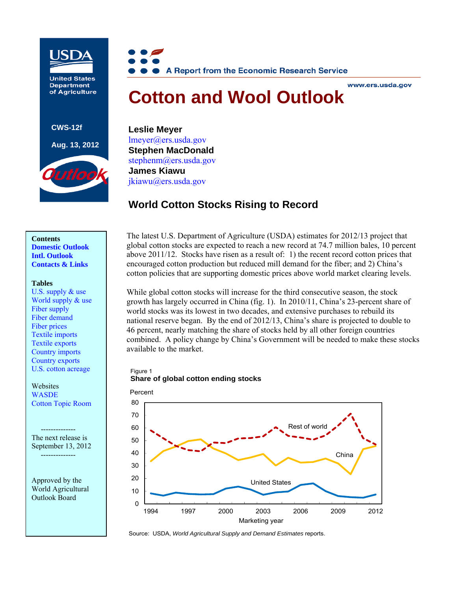

**United States Department** of Agriculture

**CWS-12f Aug. 13, 2012**



#### www.ers.usda.gov

# **Cotton and Wool Outlook**

**Leslie Meyer**  [lmeyer@ers.usda.gov](mailto:lmyer@ers.usda.gov)  **Stephen MacDonald**  stephenm@ers.usda.gov**James Kiawu** [jkiawu@ers.usda.gov](mailto:jkiawu@ers.usda.gov)

# **World Cotton Stocks Rising to Record**

## **Contents [Domestic Outlook](#page-1-0)  [Intl. Outlook](#page-4-0)  [Contacts & Links](#page-6-0)**

#### **Tables**

[U.S. supply & use](#page-7-0)  World supply  $&$  use [Fiber supply](#page-9-0)  [Fiber demand](#page-10-0)  [Fiber prices](#page-11-0)  [Textile imports](#page-12-0)  [Textile exports](#page-13-0)  [Country imports](#page-14-0)  [Country exports](#page-15-0)  [U.S. cotton acreage](#page-16-0) 

**Websites WASDE** [Cotton Topic Room](http://www.ers.usda.gov/topics/crops/cotton-wool.aspx) 

The next release is September 13, 2012 --------------

Approved by the World Agricultural Outlook Board

The latest U.S. Department of Agriculture (USDA) estimates for 2012/13 project that global cotton stocks are expected to reach a new record at 74.7 million bales, 10 percent above 2011/12. Stocks have risen as a result of: 1) the recent record cotton prices that encouraged cotton production but reduced mill demand for the fiber; and 2) China's cotton policies that are supporting domestic prices above world market clearing levels.

While global cotton stocks will increase for the third consecutive season, the stock growth has largely occurred in China (fig. 1). In 2010/11, China's 23-percent share of world stocks was its lowest in two decades, and extensive purchases to rebuild its national reserve began. By the end of 2012/13, China's share is projected to double to 46 percent, nearly matching the share of stocks held by all other foreign countries combined. A policy change by China's Government will be needed to make these stocks available to the market.

## Figure 1

## **Share of global cotton ending stocks**



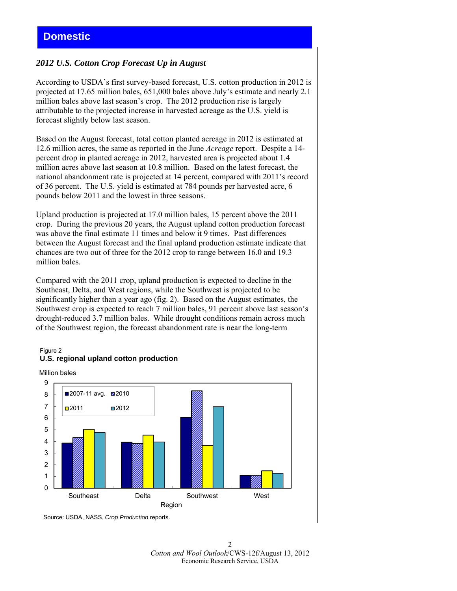## <span id="page-1-0"></span>*2012 U.S. Cotton Crop Forecast Up in August*

According to USDA's first survey-based forecast, U.S. cotton production in 2012 is projected at 17.65 million bales, 651,000 bales above July's estimate and nearly 2.1 million bales above last season's crop. The 2012 production rise is largely attributable to the projected increase in harvested acreage as the U.S. yield is forecast slightly below last season.

Based on the August forecast, total cotton planted acreage in 2012 is estimated at 12.6 million acres, the same as reported in the June *Acreage* report. Despite a 14 percent drop in planted acreage in 2012, harvested area is projected about 1.4 million acres above last season at 10.8 million. Based on the latest forecast, the national abandonment rate is projected at 14 percent, compared with 2011's record of 36 percent. The U.S. yield is estimated at 784 pounds per harvested acre, 6 pounds below 2011 and the lowest in three seasons.

Upland production is projected at 17.0 million bales, 15 percent above the 2011 crop. During the previous 20 years, the August upland cotton production forecast was above the final estimate 11 times and below it 9 times. Past differences between the August forecast and the final upland production estimate indicate that chances are two out of three for the 2012 crop to range between 16.0 and 19.3 million bales.

Compared with the 2011 crop, upland production is expected to decline in the Southeast, Delta, and West regions, while the Southwest is projected to be significantly higher than a year ago (fig. 2). Based on the August estimates, the Southwest crop is expected to reach 7 million bales, 91 percent above last season's drought-reduced 3.7 million bales. While drought conditions remain across much of the Southwest region, the forecast abandonment rate is near the long-term

#### Figure 2 **U.S. regional upland cotton production**

Million bales



Source: USDA, NASS, *Crop Production* reports.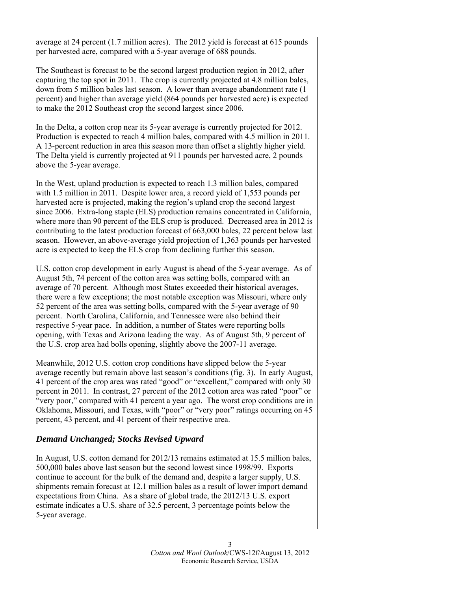average at 24 percent (1.7 million acres). The 2012 yield is forecast at 615 pounds per harvested acre, compared with a 5-year average of 688 pounds.

The Southeast is forecast to be the second largest production region in 2012, after capturing the top spot in 2011. The crop is currently projected at 4.8 million bales, down from 5 million bales last season. A lower than average abandonment rate (1 percent) and higher than average yield (864 pounds per harvested acre) is expected to make the 2012 Southeast crop the second largest since 2006.

In the Delta, a cotton crop near its 5-year average is currently projected for 2012. Production is expected to reach 4 million bales, compared with 4.5 million in 2011. A 13-percent reduction in area this season more than offset a slightly higher yield. The Delta yield is currently projected at 911 pounds per harvested acre, 2 pounds above the 5-year average.

In the West, upland production is expected to reach 1.3 million bales, compared with 1.5 million in 2011. Despite lower area, a record yield of 1,553 pounds per harvested acre is projected, making the region's upland crop the second largest since 2006. Extra-long staple (ELS) production remains concentrated in California, where more than 90 percent of the ELS crop is produced. Decreased area in 2012 is contributing to the latest production forecast of 663,000 bales, 22 percent below last season. However, an above-average yield projection of 1,363 pounds per harvested acre is expected to keep the ELS crop from declining further this season.

U.S. cotton crop development in early August is ahead of the 5-year average. As of August 5th, 74 percent of the cotton area was setting bolls, compared with an average of 70 percent. Although most States exceeded their historical averages, there were a few exceptions; the most notable exception was Missouri, where only 52 percent of the area was setting bolls, compared with the 5-year average of 90 percent. North Carolina, California, and Tennessee were also behind their respective 5-year pace. In addition, a number of States were reporting bolls opening, with Texas and Arizona leading the way. As of August 5th, 9 percent of the U.S. crop area had bolls opening, slightly above the 2007-11 average.

Meanwhile, 2012 U.S. cotton crop conditions have slipped below the 5-year average recently but remain above last season's conditions (fig. 3). In early August, 41 percent of the crop area was rated "good" or "excellent," compared with only 30 percent in 2011. In contrast, 27 percent of the 2012 cotton area was rated "poor" or "very poor," compared with 41 percent a year ago. The worst crop conditions are in Oklahoma, Missouri, and Texas, with "poor" or "very poor" ratings occurring on 45 percent, 43 percent, and 41 percent of their respective area.

## *Demand Unchanged; Stocks Revised Upward*

In August, U.S. cotton demand for 2012/13 remains estimated at 15.5 million bales, 500,000 bales above last season but the second lowest since 1998/99. Exports continue to account for the bulk of the demand and, despite a larger supply, U.S. shipments remain forecast at 12.1 million bales as a result of lower import demand expectations from China. As a share of global trade, the 2012/13 U.S. export estimate indicates a U.S. share of 32.5 percent, 3 percentage points below the 5-year average.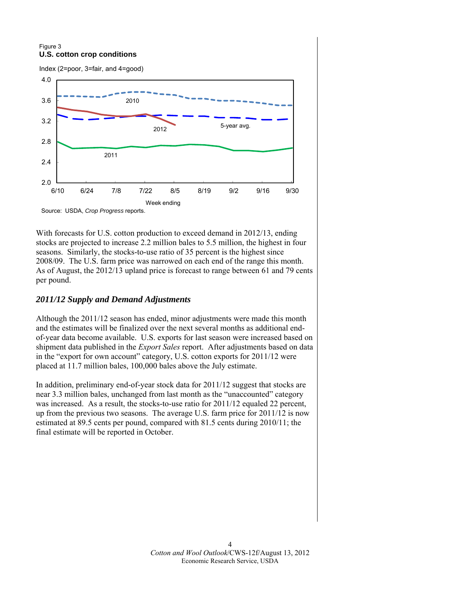## Figure 3 **U.S. cotton crop conditions**



Source: USDA, *Crop Progress* reports.

With forecasts for U.S. cotton production to exceed demand in 2012/13, ending stocks are projected to increase 2.2 million bales to 5.5 million, the highest in four seasons. Similarly, the stocks-to-use ratio of 35 percent is the highest since 2008/09. The U.S. farm price was narrowed on each end of the range this month. As of August, the 2012/13 upland price is forecast to range between 61 and 79 cents per pound.

## *2011/12 Supply and Demand Adjustments*

Although the 2011/12 season has ended, minor adjustments were made this month and the estimates will be finalized over the next several months as additional endof-year data become available. U.S. exports for last season were increased based on shipment data published in the *Export Sales* report. After adjustments based on data in the "export for own account" category, U.S. cotton exports for 2011/12 were placed at 11.7 million bales, 100,000 bales above the July estimate.

In addition, preliminary end-of-year stock data for 2011/12 suggest that stocks are near 3.3 million bales, unchanged from last month as the "unaccounted" category was increased. As a result, the stocks-to-use ratio for 2011/12 equaled 22 percent, up from the previous two seasons. The average U.S. farm price for 2011/12 is now estimated at 89.5 cents per pound, compared with 81.5 cents during 2010/11; the final estimate will be reported in October.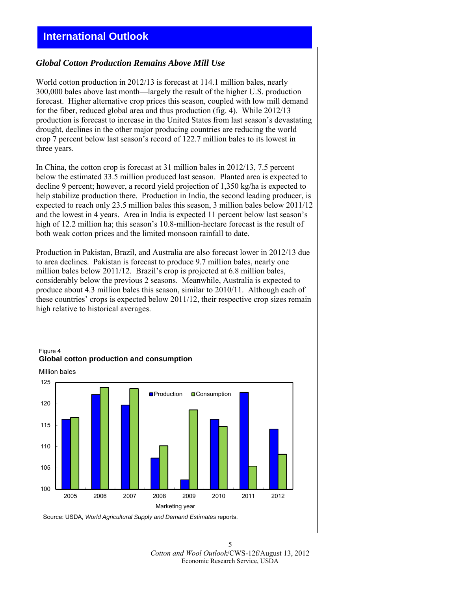## <span id="page-4-0"></span>**International Outlook**

## *Global Cotton Production Remains Above Mill Use*

World cotton production in 2012/13 is forecast at 114.1 million bales, nearly 300,000 bales above last month—largely the result of the higher U.S. production forecast. Higher alternative crop prices this season, coupled with low mill demand for the fiber, reduced global area and thus production (fig. 4). While 2012/13 production is forecast to increase in the United States from last season's devastating drought, declines in the other major producing countries are reducing the world crop 7 percent below last season's record of 122.7 million bales to its lowest in three years.

In China, the cotton crop is forecast at 31 million bales in 2012/13, 7.5 percent below the estimated 33.5 million produced last season. Planted area is expected to decline 9 percent; however, a record yield projection of 1,350 kg/ha is expected to help stabilize production there. Production in India, the second leading producer, is expected to reach only 23.5 million bales this season, 3 million bales below 2011/12 and the lowest in 4 years. Area in India is expected 11 percent below last season's high of 12.2 million ha; this season's 10.8-million-hectare forecast is the result of both weak cotton prices and the limited monsoon rainfall to date.

Production in Pakistan, Brazil, and Australia are also forecast lower in 2012/13 due to area declines. Pakistan is forecast to produce 9.7 million bales, nearly one million bales below 2011/12. Brazil's crop is projected at 6.8 million bales, considerably below the previous 2 seasons. Meanwhile, Australia is expected to produce about 4.3 million bales this season, similar to 2010/11. Although each of these countries' crops is expected below 2011/12, their respective crop sizes remain high relative to historical averages.



## Figure 4 **Global cotton production and consumption**

Source: USDA, *World Agricultural Supply and Demand Estimates* reports.

5 *Cotton and Wool Outlook*/CWS-12f/August 13, 2012 Economic Research Service, USDA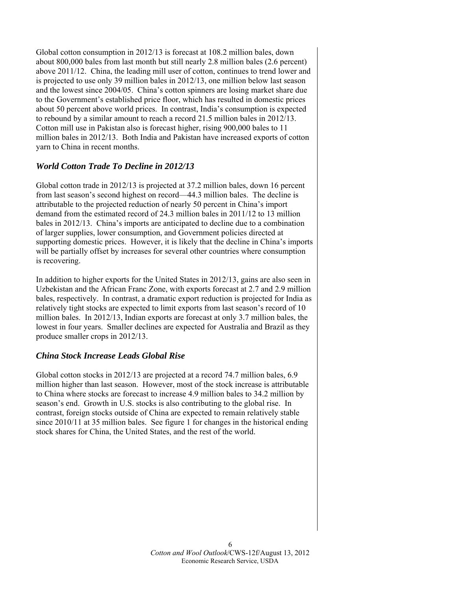Global cotton consumption in 2012/13 is forecast at 108.2 million bales, down about 800,000 bales from last month but still nearly 2.8 million bales (2.6 percent) above 2011/12. China, the leading mill user of cotton, continues to trend lower and is projected to use only 39 million bales in 2012/13, one million below last season and the lowest since 2004/05. China's cotton spinners are losing market share due to the Government's established price floor, which has resulted in domestic prices about 50 percent above world prices. In contrast, India's consumption is expected to rebound by a similar amount to reach a record 21.5 million bales in 2012/13. Cotton mill use in Pakistan also is forecast higher, rising 900,000 bales to 11 million bales in 2012/13. Both India and Pakistan have increased exports of cotton yarn to China in recent months.

## *World Cotton Trade To Decline in 2012/13*

Global cotton trade in 2012/13 is projected at 37.2 million bales, down 16 percent from last season's second highest on record—44.3 million bales. The decline is attributable to the projected reduction of nearly 50 percent in China's import demand from the estimated record of 24.3 million bales in 2011/12 to 13 million bales in 2012/13. China's imports are anticipated to decline due to a combination of larger supplies, lower consumption, and Government policies directed at supporting domestic prices. However, it is likely that the decline in China's imports will be partially offset by increases for several other countries where consumption is recovering.

In addition to higher exports for the United States in 2012/13, gains are also seen in Uzbekistan and the African Franc Zone, with exports forecast at 2.7 and 2.9 million bales, respectively. In contrast, a dramatic export reduction is projected for India as relatively tight stocks are expected to limit exports from last season's record of 10 million bales. In 2012/13, Indian exports are forecast at only 3.7 million bales, the lowest in four years. Smaller declines are expected for Australia and Brazil as they produce smaller crops in 2012/13.

## *China Stock Increase Leads Global Rise*

Global cotton stocks in 2012/13 are projected at a record 74.7 million bales, 6.9 million higher than last season. However, most of the stock increase is attributable to China where stocks are forecast to increase 4.9 million bales to 34.2 million by season's end. Growth in U.S. stocks is also contributing to the global rise. In contrast, foreign stocks outside of China are expected to remain relatively stable since 2010/11 at 35 million bales. See figure 1 for changes in the historical ending stock shares for China, the United States, and the rest of the world.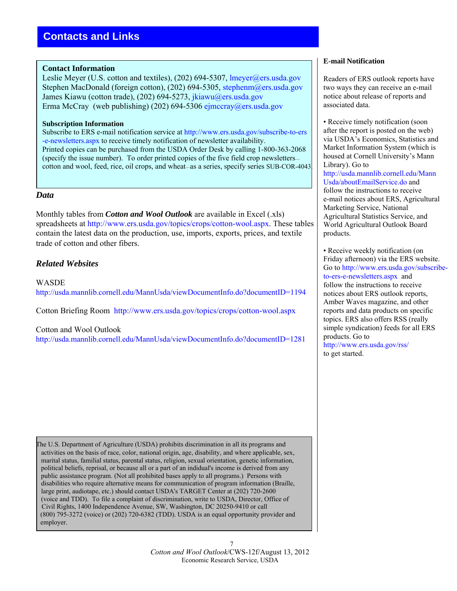## <span id="page-6-0"></span>**Contact Information**

Leslie Meyer (U.S. cotton and textiles), (202) 694-5307, lmeyer@ers.usda.gov Stephen MacDonald (foreign cotton), (202) 694-5305, stephenm@ers.usda.gov James Kiawu (cotton trade), (202) 694-5273, [jkiawu@ers.usda.gov](mailto: jkiawu@ers.usda.gov) Erma McCray (web publishing) (202) 694-53[06 ejmccray@ers.usda.g](mailto: ejmccray@ers.usda.gov)ov

## **Subscription Information**

Subscribe to ERS e-mail notification service at [http://www.ers.usda.gov/subscribe-to-ers](http://www.ers.usda.gov/subscribe-to-ers-e-newsletters.aspx) [-e-newsletters.aspx](http://www.ers.usda.gov/subscribe-to-ers-e-newsletters.aspx) to receive timely notification of newsletter availability. Printed copies can be purchased from the USDA Order Desk by calling 1-800-363-2068 (specify the issue number). To order printed copies of the five field crop newsletters cotton and wool, feed, rice, oil crops, and wheat—as a series, specify series SUB-COR-4043.

## *Data*

r

Monthly tables from *Cotton and Wool Outlook* are available in Excel (.xls) spreadsheets at <http://www.ers.usda.gov/topics/crops/cotton-wool.aspx>. These tables contain the latest data on the production, use, imports, exports, prices, and textile trade of cotton and other fibers.

## *Related Websites*

WASDE <http://usda.mannlib.cornell.edu/MannUsda/viewDocumentInfo.do?documentID=1194>

Cotton Briefing Room <http://www.ers.usda.gov/topics/crops/cotton-wool.aspx>

## Cotton and Wool Outlook

<http://usda.mannlib.cornell.edu/MannUsda/viewDocumentInfo.do?documentID=1281>

The U.S. Department of Agriculture (USDA) prohibits discrimination in all its programs and activities on the basis of race, color, national origin, age, disability, and where applicable, sex, marital status, familial status, parental status, religion, sexual orientation, genetic information, political beliefs, reprisal, or because all or a part of an indidual's income is derived from any public assistance program. (Not all prohibited bases apply to all programs.) Persons with disabilities who require alternative means for communication of program information (Braille, large print, audiotape, etc.) should contact USDA's TARGET Center at (202) 720-2600 (voice and TDD). To file a complaint of discrimination, write to USDA, Director, Office of Civil Rights, 1400 Independence Avenue, SW, Washington, DC 20250-9410 or call (800) 795-3272 (voice) or (202) 720-6382 (TDD). USDA is an equal opportunity provider and employer.

#### **E-mail Notification**

Readers of ERS outlook reports have two ways they can receive an e-mail notice about release of reports and associated data.

• Receive timely notification (soon after the report is posted on the web) via USDA's Economics, Statistics and Market Information System (which is housed at Cornell University's Mann Library). Go to [http://usda.mannlib.cornell.edu/Mann](http://usda.mannlib.cornell.edu/MannUsda/aboutEmailService.do) [Usda/aboutEmailService.do](http://usda.mannlib.cornell.edu/MannUsda/aboutEmailService.do) and follow the instructions to receive e-mail notices about ERS, Agricultural Marketing Service, National Agricultural Statistics Service, and World Agricultural Outlook Board products.

• Receive weekly notification (on Friday afternoon) via the ERS website. Go to [http://www.ers.usda.gov/subscribe](http://www.ers.usda.gov/subscribe-to-ers-e-newsletters.aspx)[to-ers-e-newsletters.aspx](http://www.ers.usda.gov/subscribe-to-ers-e-newsletters.aspx) and follow the instructions to receive notices about ERS outlook reports, Amber Waves magazine, and other reports and data products on specific topics. ERS also offers RSS (really simple syndication) feeds for all ERS products. Go to <http://www.ers.usda.gov/rss/>

to get started.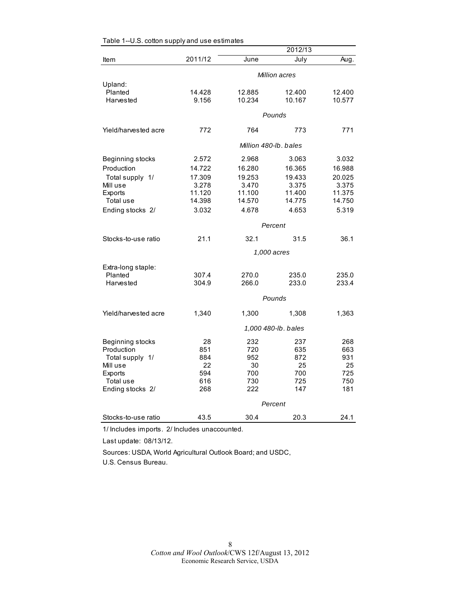<span id="page-7-0"></span>

|                      |         |                       | 2012/13             |        |  |
|----------------------|---------|-----------------------|---------------------|--------|--|
| Item                 | 2011/12 | June                  | July                | Aug.   |  |
|                      |         | Million acres         |                     |        |  |
| Upland:              |         |                       |                     |        |  |
| Planted              | 14.428  | 12.885                | 12.400              | 12.400 |  |
| Harvested            | 9.156   | 10.234                | 10.167              | 10.577 |  |
|                      |         |                       | Pounds              |        |  |
| Yield/harvested acre | 772     | 764                   | 773                 | 771    |  |
|                      |         | Million 480-lb, bales |                     |        |  |
| Beginning stocks     | 2.572   | 2.968                 | 3.063               | 3.032  |  |
| Production           | 14.722  | 16.280                | 16.365              | 16.988 |  |
| Total supply 1/      | 17.309  | 19.253                | 19.433              | 20.025 |  |
| Mill use             | 3.278   | 3.470                 | 3.375               | 3.375  |  |
| Exports              | 11.120  | 11.100                | 11.400              | 11.375 |  |
| Total use            | 14.398  | 14.570                | 14.775              | 14.750 |  |
| Ending stocks 2/     | 3.032   | 4.678                 | 4.653               | 5.319  |  |
|                      |         |                       | Percent             |        |  |
| Stocks-to-use ratio  | 21.1    | 32.1                  | 31.5                | 36.1   |  |
|                      |         |                       | 1,000 acres         |        |  |
| Extra-long staple:   |         |                       |                     |        |  |
| Planted              | 307.4   | 270.0                 | 235.0               | 235.0  |  |
| Harvested            | 304.9   | 266.0                 | 233.0               | 233.4  |  |
|                      |         |                       | Pounds              |        |  |
| Yield/harvested acre | 1,340   | 1,300                 | 1,308               | 1,363  |  |
|                      |         |                       | 1,000 480-lb. bales |        |  |
| Beginning stocks     | 28      | 232                   | 237                 | 268    |  |
| Production           | 851     | 720                   | 635                 | 663    |  |
| Total supply 1/      | 884     | 952                   | 872                 | 931    |  |
| Mill use             | 22      | 30                    | 25                  | 25     |  |
| Exports              | 594     | 700                   | 700                 | 725    |  |
| Total use            | 616     | 730                   | 725                 | 750    |  |
| Ending stocks 2/     | 268     | 222                   | 147                 | 181    |  |
|                      |         |                       | Percent             |        |  |
| Stocks-to-use ratio  | 43.5    | 30.4                  | 20.3                | 24.1   |  |

1/ Includes imports. 2/ Includes unaccounted.

Last update: 08/13/12.

Sources: USDA, World Agricultural Outlook Board; and USDC, U.S. Census Bureau.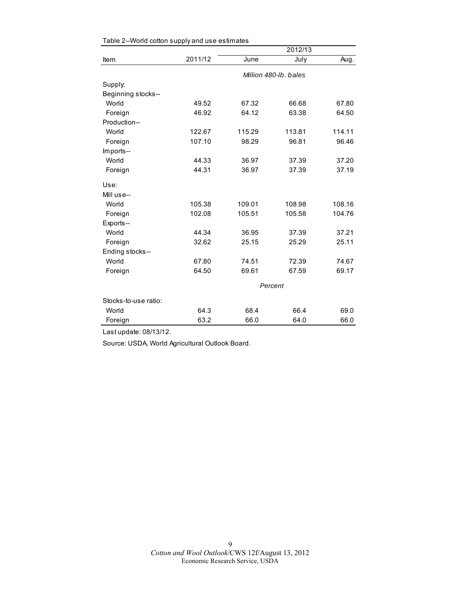|                      |         | 2012/13               |         |        |  |
|----------------------|---------|-----------------------|---------|--------|--|
| Item                 | 2011/12 | June                  | July    | Aug.   |  |
|                      |         | Million 480-lb, bales |         |        |  |
| Supply:              |         |                       |         |        |  |
| Beginning stocks--   |         |                       |         |        |  |
| World                | 49.52   | 67.32                 | 66.68   | 67.80  |  |
| Foreign              | 46.92   | 64.12                 | 63.38   | 64.50  |  |
| Production--         |         |                       |         |        |  |
| World                | 122.67  | 115.29                | 113.81  | 114.11 |  |
| Foreign              | 107.10  | 98.29                 | 96.81   | 96.46  |  |
| Imports--            |         |                       |         |        |  |
| World                | 44.33   | 36.97                 | 37.39   | 37.20  |  |
| Foreign              | 44.31   | 36.97                 | 37.39   | 37.19  |  |
| Use:                 |         |                       |         |        |  |
| Mill use--           |         |                       |         |        |  |
| World                | 105.38  | 109.01                | 108.98  | 108.16 |  |
| Foreign              | 102.08  | 105.51                | 105.58  | 104.76 |  |
| Exports--            |         |                       |         |        |  |
| World                | 44.34   | 36.95                 | 37.39   | 37.21  |  |
| Foreign              | 32.62   | 25.15                 | 25.29   | 25.11  |  |
| Ending stocks--      |         |                       |         |        |  |
| World                | 67.80   | 74.51                 | 72.39   | 74.67  |  |
| Foreign              | 64.50   | 69.61                 | 67.59   | 69.17  |  |
|                      |         |                       | Percent |        |  |
| Stocks-to-use ratio: |         |                       |         |        |  |
| World                | 64.3    | 68.4                  | 66.4    | 69.0   |  |
| Foreign              | 63.2    | 66.0                  | 64.0    | 66.0   |  |

<span id="page-8-0"></span>

| Table 2--World cotton supply and use estimates |  |  |
|------------------------------------------------|--|--|
|------------------------------------------------|--|--|

Last update: 08/13/12.

Source: USDA, World Agricultural Outlook Board.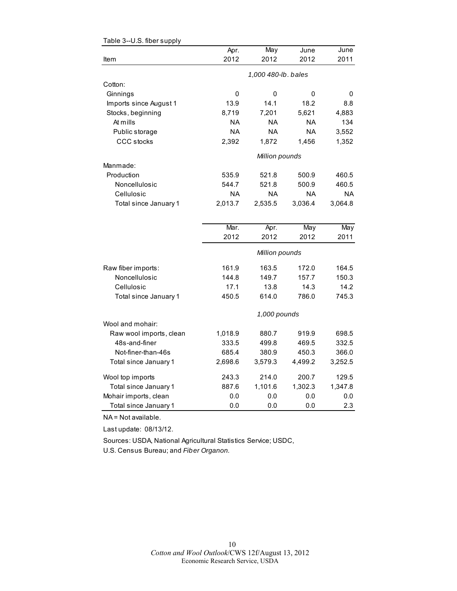|                         | Apr.                | May            | June      | June      |  |
|-------------------------|---------------------|----------------|-----------|-----------|--|
| Item                    | 2012                | 2012           | 2012      | 2011      |  |
|                         | 1,000 480-lb. bales |                |           |           |  |
| Cotton:                 |                     |                |           |           |  |
| Ginnings                | 0                   | 0              | 0         | 0         |  |
| Imports since August 1  | 13.9                | 14.1           | 18.2      | 8.8       |  |
| Stocks, beginning       | 8,719               | 7,201          | 5,621     | 4,883     |  |
| At mills                | <b>NA</b>           | <b>NA</b>      | <b>NA</b> | 134       |  |
| Public storage          | <b>NA</b>           | <b>NA</b>      | <b>NA</b> | 3,552     |  |
| <b>CCC</b> stocks       | 2,392               | 1,872          | 1,456     | 1,352     |  |
|                         |                     | Million pounds |           |           |  |
| Manmade:                |                     |                |           |           |  |
| Production              | 535.9               | 521.8          | 500.9     | 460.5     |  |
| Noncellulosic           | 544.7               | 521.8          | 500.9     | 460.5     |  |
| Cellulosic              | <b>NA</b>           | <b>NA</b>      | <b>NA</b> | <b>NA</b> |  |
| Total since January 1   | 2,013.7             | 2,535.5        | 3,036.4   | 3,064.8   |  |
|                         |                     |                |           |           |  |
|                         | Mar.                | Apr.           | May       | May       |  |
|                         | 2012                | 2012           | 2012      | 2011      |  |
|                         |                     | Million pounds |           |           |  |
| Raw fiber imports:      | 161.9               | 163.5          | 172.0     | 164.5     |  |
| Noncellulosic           | 144.8               | 149.7          | 157.7     | 150.3     |  |
| Cellulosic              | 17.1                | 13.8           | 14.3      | 14.2      |  |
| Total since January 1   | 450.5               | 614.0          | 786.0     | 745.3     |  |
|                         |                     | 1,000 pounds   |           |           |  |
| Wool and mohair:        |                     |                |           |           |  |
| Raw wool imports, clean | 1,018.9             | 880.7          | 919.9     | 698.5     |  |
| 48s-and-finer           | 333.5               | 499.8          | 469.5     | 332.5     |  |
| Not-finer-than-46s      | 685.4               | 380.9          | 450.3     | 366.0     |  |
| Total since January 1   | 2,698.6             | 3,579.3        | 4,499.2   | 3,252.5   |  |
| Wool top imports        | 243.3               | 214.0          | 200.7     | 129.5     |  |
| Total since January 1   | 887.6               | 1,101.6        | 1,302.3   | 1,347.8   |  |
| Mohair imports, clean   | 0.0                 | 0.0            | 0.0       | 0.0       |  |
| Total since January 1   | 0.0                 | 0.0            | 0.0       | 2.3       |  |

#### <span id="page-9-0"></span>Table 3--U.S. fiber supply

NA = Not available.

Last update: 08/13/12.

Sources: USDA, National Agricultural Statistics Service; USDC,

U.S. Census Bureau; and *Fiber Organon.*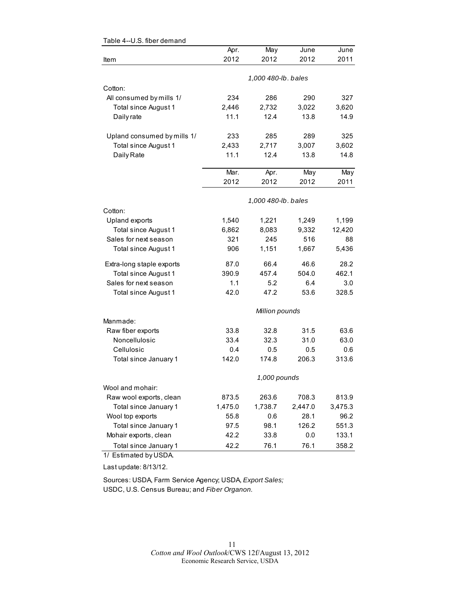|                             | Apr.    | May                 | June    | June    |
|-----------------------------|---------|---------------------|---------|---------|
| Item                        | 2012    | 2012                | 2012    | 2011    |
|                             |         |                     |         |         |
|                             |         | 1,000 480-lb. bales |         |         |
| Cotton:                     |         |                     |         |         |
| All consumed by mills 1/    | 234     | 286                 | 290     | 327     |
| Total since August 1        | 2,446   | 2,732               | 3,022   | 3,620   |
| Daily rate                  | 11.1    | 12.4                | 13.8    | 14.9    |
| Upland consumed by mills 1/ | 233     | 285                 | 289     | 325     |
| Total since August 1        | 2,433   | 2,717               | 3,007   | 3,602   |
| Daily Rate                  | 11.1    | 12.4                | 13.8    | 14.8    |
|                             | Mar.    | Apr.                | May     | May     |
|                             | 2012    | 2012                | 2012    | 2011    |
|                             |         | 1,000 480-lb. bales |         |         |
| Cotton:                     |         |                     |         |         |
| Upland exports              | 1,540   | 1,221               | 1,249   | 1,199   |
| Total since August 1        | 6,862   | 8,083               | 9,332   | 12,420  |
| Sales for next season       | 321     | 245                 | 516     | 88      |
| Total since August 1        | 906     | 1,151               | 1,667   | 5,436   |
| Extra-long staple exports   | 87.0    | 66.4                | 46.6    | 28.2    |
| Total since August 1        | 390.9   | 457.4               | 504.0   | 462.1   |
| Sales for next season       | 1.1     | 5.2                 | 6.4     | 3.0     |
| Total since August 1        | 42.0    | 47.2                | 53.6    | 328.5   |
|                             |         | Million pounds      |         |         |
| Manmade:                    |         |                     |         |         |
| Raw fiber exports           | 33.8    | 32.8                | 31.5    | 63.6    |
| Noncellulosic               | 33.4    | 32.3                | 31.0    | 63.0    |
| Cellulosic                  | 0.4     | 0.5                 | 0.5     | 0.6     |
| Total since January 1       | 142.0   | 174.8               | 206.3   | 313.6   |
|                             |         | 1,000 pounds        |         |         |
| Wool and mohair:            |         |                     |         |         |
| Raw wool exports, clean     | 873.5   | 263.6               | 708.3   | 813.9   |
| Total since January 1       | 1,475.0 | 1,738.7             | 2,447.0 | 3,475.3 |
| Wool top exports            | 55.8    | 0.6                 | 28.1    | 96.2    |
| Total since January 1       | 97.5    | 98.1                | 126.2   | 551.3   |
| Mohair exports, clean       | 42.2    | 33.8                | 0.0     | 133.1   |
| Total since January 1       | 42.2    | 76.1                | 76.1    | 358.2   |
| 1/ Estimated by USDA.       |         |                     |         |         |

#### <span id="page-10-0"></span>Table 4--U.S. fiber demand

Last update: 8/13/12.

Sources: USDA, Farm Service Agency; USDA, *Export Sales;* USDC, U.S. Census Bureau; and *Fiber Organon.*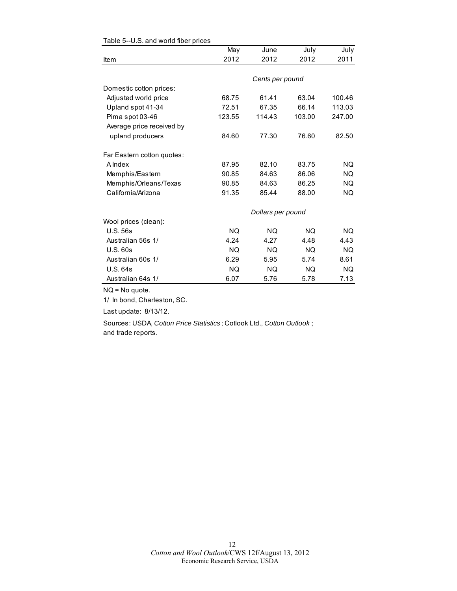|                            | May       | June              | July      | July      |
|----------------------------|-----------|-------------------|-----------|-----------|
| Item                       | 2012      | 2012              | 2012      | 2011      |
|                            |           |                   |           |           |
|                            |           | Cents per pound   |           |           |
| Domestic cotton prices:    |           |                   |           |           |
| Adjusted world price       | 68.75     | 61.41             | 63.04     | 100.46    |
| Upland spot 41-34          | 72.51     | 67.35             | 66.14     | 113.03    |
| Pima spot 03-46            | 123.55    | 114.43            | 103.00    | 247.00    |
| Average price received by  |           |                   |           |           |
| upland producers           | 84.60     | 77.30             | 76.60     | 82.50     |
| Far Eastern cotton quotes: |           |                   |           |           |
| A Index                    | 87.95     | 82.10             | 83.75     | <b>NQ</b> |
| Memphis/Eastern            | 90.85     | 84.63             | 86.06     | <b>NO</b> |
| Memphis/Orleans/Texas      | 90.85     | 84.63             | 86.25     | <b>NQ</b> |
| California/Arizona         | 91.35     | 85.44             | 88.00     | <b>NQ</b> |
|                            |           | Dollars per pound |           |           |
| Wool prices (clean):       |           |                   |           |           |
| <b>U.S. 56s</b>            | <b>NQ</b> | <b>NQ</b>         | <b>NQ</b> | <b>NQ</b> |
| Australian 56s 1/          | 4.24      | 4.27              | 4.48      | 4.43      |
| U.S.60s                    | NQ.       | NQ.               | <b>NQ</b> | <b>NQ</b> |
| Australian 60s 1/          | 6.29      | 5.95              | 5.74      | 8.61      |
| <b>U.S. 64s</b>            | NQ.       | <b>NQ</b>         | NQ.       | <b>NQ</b> |
| Australian 64s 1/          | 6.07      | 5.76              | 5.78      | 7.13      |

#### <span id="page-11-0"></span>Table 5--U.S. and world fiber prices

NQ = No quote.

1/ In bond, Charleston, SC.

Last update: 8/13/12.

Sources: USDA, *Cotton Price Statistics* ; Cotlook Ltd., *Cotton Outlook* ; and trade reports.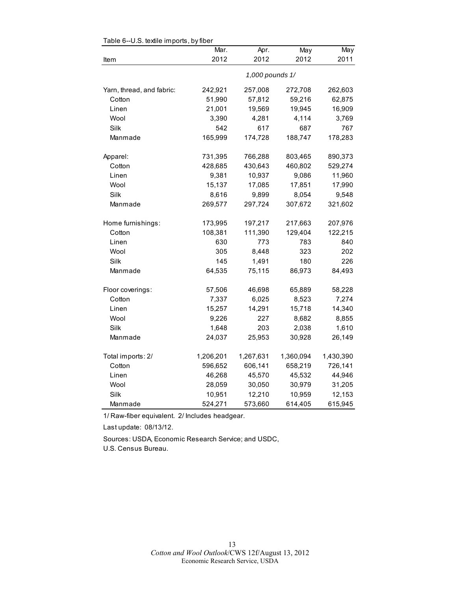|                           | Mar.            | Apr.      | May       | May       |  |  |
|---------------------------|-----------------|-----------|-----------|-----------|--|--|
| Item                      | 2012            | 2012      | 2012      | 2011      |  |  |
|                           | 1,000 pounds 1/ |           |           |           |  |  |
| Yarn, thread, and fabric: | 242,921         | 257,008   | 272,708   | 262,603   |  |  |
| Cotton                    | 51,990          | 57,812    | 59,216    | 62,875    |  |  |
| Linen                     | 21,001          | 19,569    | 19,945    | 16,909    |  |  |
| Wool                      | 3,390           | 4,281     | 4,114     | 3,769     |  |  |
| Silk                      | 542             | 617       | 687       | 767       |  |  |
| Manmade                   | 165,999         | 174,728   | 188,747   | 178,283   |  |  |
| Apparel:                  | 731,395         | 766,288   | 803,465   | 890,373   |  |  |
| Cotton                    | 428,685         | 430,643   | 460,802   | 529,274   |  |  |
| Linen                     | 9,381           | 10,937    | 9,086     | 11,960    |  |  |
| Wool                      | 15,137          | 17,085    | 17,851    | 17,990    |  |  |
| Silk                      | 8,616           | 9,899     | 8,054     | 9,548     |  |  |
| Manmade                   | 269,577         | 297,724   | 307,672   | 321,602   |  |  |
| Home furnishings:         | 173,995         | 197,217   | 217,663   | 207,976   |  |  |
| Cotton                    | 108,381         | 111,390   | 129,404   | 122,215   |  |  |
| Linen                     | 630             | 773       | 783       | 840       |  |  |
| Wool                      | 305             | 8,448     | 323       | 202       |  |  |
| Silk                      | 145             | 1,491     | 180       | 226       |  |  |
| Manmade                   | 64,535          | 75,115    | 86,973    | 84,493    |  |  |
| Floor coverings:          | 57,506          | 46,698    | 65,889    | 58,228    |  |  |
| Cotton                    | 7,337           | 6,025     | 8,523     | 7,274     |  |  |
| Linen                     | 15,257          | 14,291    | 15,718    | 14,340    |  |  |
| Wool                      | 9,226           | 227       | 8,682     | 8,855     |  |  |
| Silk                      | 1,648           | 203       | 2,038     | 1,610     |  |  |
| Manmade                   | 24,037          | 25,953    | 30,928    | 26,149    |  |  |
| Total imports: 2/         | 1,206,201       | 1,267,631 | 1,360,094 | 1,430,390 |  |  |
| Cotton                    | 596,652         | 606,141   | 658,219   | 726,141   |  |  |
| Linen                     | 46,268          | 45,570    | 45,532    | 44,946    |  |  |
| Wool                      | 28,059          | 30,050    | 30,979    | 31,205    |  |  |
| Silk                      | 10,951          | 12,210    | 10,959    | 12,153    |  |  |
| Manmade                   | 524,271         | 573,660   | 614,405   | 615,945   |  |  |

#### <span id="page-12-0"></span>Table 6--U.S. textile imports, by fiber

1/ Raw-fiber equivalent. 2/ Includes headgear.

Last update: 08/13/12.

Sources: USDA, Economic Research Service; and USDC,

U.S. Census Bureau.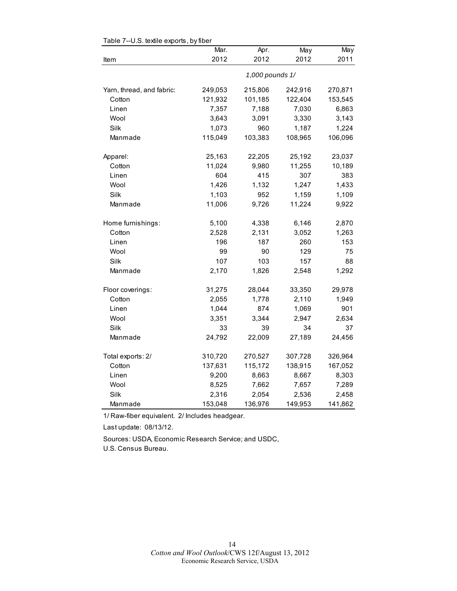|                           | Mar.            | Apr.    | May     | May     |  |
|---------------------------|-----------------|---------|---------|---------|--|
| Item                      | 2012            | 2012    | 2012    | 2011    |  |
|                           | 1,000 pounds 1/ |         |         |         |  |
| Yarn, thread, and fabric: | 249,053         | 215,806 | 242,916 | 270,871 |  |
| Cotton                    | 121,932         | 101,185 | 122,404 | 153,545 |  |
| Linen                     | 7,357           | 7,188   | 7,030   | 6,863   |  |
| Wool                      | 3,643           | 3,091   | 3,330   | 3,143   |  |
| Silk                      | 1,073           | 960     | 1,187   | 1,224   |  |
| Manmade                   | 115,049         | 103,383 | 108,965 | 106,096 |  |
| Apparel:                  | 25,163          | 22,205  | 25,192  | 23,037  |  |
| Cotton                    | 11,024          | 9,980   | 11,255  | 10,189  |  |
| Linen                     | 604             | 415     | 307     | 383     |  |
| Wool                      | 1,426           | 1,132   | 1,247   | 1,433   |  |
| Silk                      | 1,103           | 952     | 1,159   | 1,109   |  |
| Manmade                   | 11,006          | 9,726   | 11,224  | 9,922   |  |
| Home furnishings:         | 5,100           | 4,338   | 6,146   | 2,870   |  |
| Cotton                    | 2,528           | 2,131   | 3,052   | 1,263   |  |
| Linen                     | 196             | 187     | 260     | 153     |  |
| Wool                      | 99              | 90      | 129     | 75      |  |
| Silk                      | 107             | 103     | 157     | 88      |  |
| Manmade                   | 2,170           | 1,826   | 2,548   | 1,292   |  |
| Floor coverings:          | 31,275          | 28,044  | 33,350  | 29,978  |  |
| Cotton                    | 2,055           | 1,778   | 2,110   | 1,949   |  |
| Linen                     | 1,044           | 874     | 1,069   | 901     |  |
| Wool                      | 3,351           | 3,344   | 2,947   | 2,634   |  |
| Silk                      | 33              | 39      | 34      | 37      |  |
| Manmade                   | 24,792          | 22,009  | 27,189  | 24,456  |  |
| Total exports: 2/         | 310,720         | 270,527 | 307,728 | 326,964 |  |
| Cotton                    | 137,631         | 115,172 | 138,915 | 167,052 |  |
| Linen                     | 9,200           | 8,663   | 8,667   | 8,303   |  |
| Wool                      | 8,525           | 7,662   | 7,657   | 7,289   |  |
| Silk                      | 2,316           | 2,054   | 2,536   | 2,458   |  |
| Manmade                   | 153,048         | 136,976 | 149,953 | 141,862 |  |

#### <span id="page-13-0"></span>Table 7--U.S. textile exports, by fiber

1/ Raw-fiber equivalent. 2/ Includes headgear.

Last update: 08/13/12.

Sources: USDA, Economic Research Service; and USDC,

U.S. Census Bureau.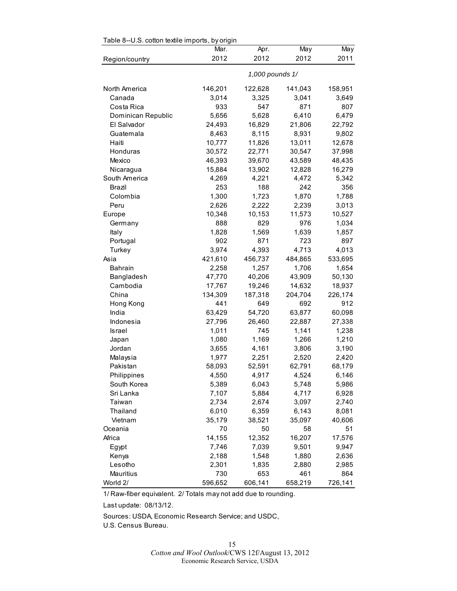<span id="page-14-0"></span>

| Table 8--0.S. cotton textile imports, by origin | Mar.            | Apr.    | May     | May     |  |
|-------------------------------------------------|-----------------|---------|---------|---------|--|
| Region/country                                  | 2012            | 2012    | 2012    | 2011    |  |
|                                                 |                 |         |         |         |  |
|                                                 | 1,000 pounds 1/ |         |         |         |  |
| North America                                   | 146,201         | 122,628 | 141,043 | 158,951 |  |
| Canada                                          | 3,014           | 3,325   | 3,041   | 3,649   |  |
| Costa Rica                                      | 933             | 547     | 871     | 807     |  |
| Dominican Republic                              | 5,656           | 5,628   | 6,410   | 6,479   |  |
| El Salvador                                     | 24,493          | 16,829  | 21,806  | 22,792  |  |
| Guatemala                                       | 8,463           | 8,115   | 8,931   | 9,802   |  |
| Haiti                                           | 10,777          | 11,826  | 13,011  | 12,678  |  |
| Honduras                                        | 30,572          | 22,771  | 30,547  | 37,998  |  |
| Mexico                                          | 46,393          | 39,670  | 43,589  | 48,435  |  |
| Nicaragua                                       | 15,884          | 13,902  | 12,828  | 16,279  |  |
| South America                                   | 4,269           | 4,221   | 4,472   | 5,342   |  |
| Brazil                                          | 253             | 188     | 242     | 356     |  |
| Colombia                                        | 1,300           | 1,723   | 1,870   | 1,788   |  |
| Peru                                            | 2,626           | 2,222   | 2,239   | 3,013   |  |
| Europe                                          | 10,348          | 10,153  | 11,573  | 10,527  |  |
| Germany                                         | 888             | 829     | 976     | 1,034   |  |
| Italy                                           | 1,828           | 1,569   | 1,639   | 1,857   |  |
| Portugal                                        | 902             | 871     | 723     | 897     |  |
| Turkey                                          | 3,974           | 4,393   | 4,713   | 4,013   |  |
| Asia                                            | 421,610         | 456,737 | 484,865 | 533,695 |  |
| <b>Bahrain</b>                                  | 2,258           | 1,257   | 1,706   | 1,654   |  |
| Bangladesh                                      | 47,770          | 40,206  | 43,909  | 50,130  |  |
| Cambodia                                        | 17,767          | 19,246  | 14,632  | 18,937  |  |
| China                                           | 134,309         | 187,318 | 204,704 | 226,174 |  |
| Hong Kong                                       | 441             | 649     | 692     | 912     |  |
| India                                           | 63,429          | 54,720  | 63,877  | 60,098  |  |
| Indonesia                                       | 27,796          | 26,460  | 22,887  | 27,338  |  |
| Israel                                          | 1,011           | 745     | 1,141   | 1,238   |  |
| Japan                                           | 1,080           | 1,169   | 1,266   | 1,210   |  |
| Jordan                                          | 3,655           | 4,161   | 3,806   | 3,190   |  |
| Malaysia                                        | 1,977           | 2,251   | 2,520   | 2,420   |  |
| Pakistan                                        | 58,093          | 52,591  | 62,791  | 68,179  |  |
| Philippines                                     | 4,550           | 4,917   | 4,524   | 6,146   |  |
| South Korea                                     | 5,389           | 6,043   | 5,748   | 5,986   |  |
| Sri Lanka                                       | 7,107           | 5,884   | 4,717   | 6,928   |  |
| Taiwan                                          | 2,734           | 2,674   | 3,097   | 2,740   |  |
| Thailand                                        | 6,010           | 6,359   | 6,143   | 8,081   |  |
| Vietnam                                         | 35,179          | 38,521  | 35,097  | 40,606  |  |
| Oceania                                         | 70              | 50      | 58      | 51      |  |
| Africa                                          | 14,155          | 12,352  | 16,207  | 17,576  |  |
| Egypt                                           | 7,746           | 7,039   | 9,501   | 9,947   |  |
| Kenya                                           | 2,188           | 1,548   | 1,880   | 2,636   |  |
| Lesotho                                         | 2,301           | 1,835   | 2,880   | 2,985   |  |
| Mauritius                                       | 730             | 653     | 461     | 864     |  |
| World 2/                                        | 596,652         | 606,141 | 658,219 | 726,141 |  |

 $Table 8-11$  S, cotton to tilo imports, by original

1/ Raw-fiber equivalent. 2/ Totals may not add due to rounding.

Last update: 08/13/12.

Sources: USDA, Economic Research Service; and USDC,

U.S. Census Bureau.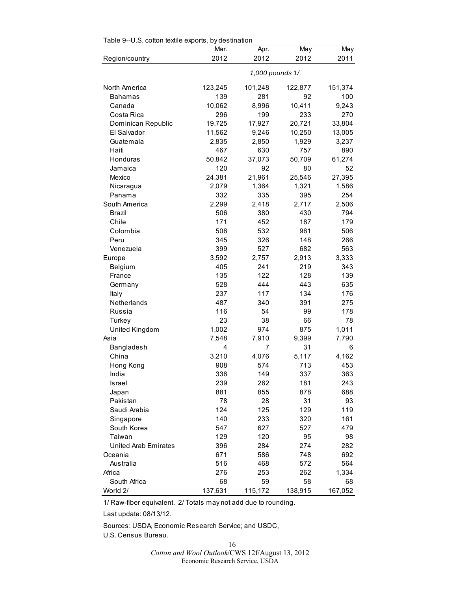|                             | Mar.<br>2012 | Apr.<br>2012    | May<br>2012 | May<br>2011 |
|-----------------------------|--------------|-----------------|-------------|-------------|
| Region/country              |              |                 |             |             |
|                             |              | 1,000 pounds 1/ |             |             |
| North America               | 123,245      | 101,248         | 122,877     | 151,374     |
| <b>Bahamas</b>              | 139          | 281             | 92          | 100         |
| Canada                      | 10,062       | 8,996           | 10,411      | 9,243       |
| Costa Rica                  | 296          | 199             | 233         | 270         |
| Dominican Republic          | 19,725       | 17,927          | 20,721      | 33,804      |
| El Salvador                 | 11,562       | 9,246           | 10,250      | 13,005      |
| Guatemala                   | 2,835        | 2,850           | 1,929       | 3,237       |
| Haiti                       | 467          | 630             | 757         | 890         |
| Honduras                    | 50,842       | 37,073          | 50,709      | 61,274      |
| Jamaica                     | 120          | 92              | 80          | 52          |
| Mexico                      | 24,381       | 21,961          | 25,546      | 27,395      |
| Nicaragua                   | 2,079        | 1,364           | 1,321       | 1,586       |
| Panama                      | 332          | 335             | 395         | 254         |
| South America               | 2,299        | 2,418           | 2,717       | 2,506       |
| Brazil                      | 506          | 380             | 430         | 794         |
| Chile                       | 171          | 452             | 187         | 179         |
| Colombia                    | 506          | 532             | 961         | 506         |
| Peru                        | 345          | 326             | 148         | 266         |
| Venezuela                   | 399          | 527             | 682         | 563         |
| Europe                      | 3,592        | 2,757           | 2,913       | 3,333       |
| Belgium                     | 405          | 241             | 219         | 343         |
| France                      | 135          | 122             | 128         | 139         |
| Germany                     | 528          | 444             | 443         | 635         |
| Italy                       | 237          | 117             | 134         | 176         |
| Netherlands                 | 487          | 340             | 391         | 275         |
| Russia                      | 116          | 54              | 99          | 178         |
| Turkey                      | 23           | 38              | 66          | 78          |
| United Kingdom              | 1,002        | 974             | 875         | 1,011       |
| Asia                        | 7,548        | 7,910           | 9,399       | 7,790       |
| Bangladesh                  | 4            | 7               | 31          | 6           |
| China                       | 3,210        | 4,076           | 5,117       | 4,162       |
| Hong Kong                   | 908          | 574             | 713         | 453         |
| India                       | 336          | 149             | 337         | 363         |
| Israel                      | 239          | 262             | 181         | 243         |
| Japan                       | 881          | 855             | 878         | 688         |
| Pakistan                    | 78           | 28              | 31          | 93          |
| Saudi Arabia                | 124          | 125             | 129         | 119         |
| Singapore                   | 140          | 233             | 320         | 161         |
| South Korea                 | 547          |                 | 527         | 479         |
|                             |              | 627             |             |             |
| Taiwan                      | 129          | 120             | 95          | 98          |
| <b>United Arab Emirates</b> | 396          | 284             | 274         | 282         |
| Oceania                     | 671          | 586             | 748         | 692         |
| Australia                   | 516          | 468             | 572         | 564         |
| Africa                      | 276          | 253             | 262         | 1,334       |
| South Africa                | 68           | 59              | 58          | 68          |
| World 2/                    | 137,631      | 115,172         | 138,915     | 167,052     |

<span id="page-15-0"></span> $Table 0-11$  S cotton textile experts, by destination

1/ Raw-fiber equivalent. 2/ Totals may not add due to rounding.

Last update: 08/13/12.

Sources: USDA, Economic Research Service; and USDC,

U.S. Census Bureau.

16 *Cotton and Wool Outlook*/CWS 12f/August 13, 2012 Economic Research Service, USDA